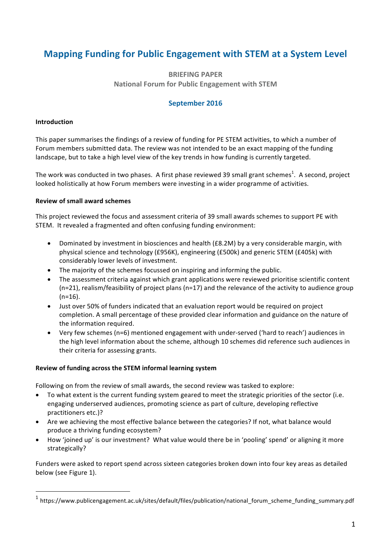# **Mapping Funding for Public Engagement with STEM at a System Level**

**BRIEFING PAPER National Forum for Public Engagement with STEM** 

## September 2016

### **Introduction**

This paper summarises the findings of a review of funding for PE STEM activities, to which a number of Forum members submitted data. The review was not intended to be an exact mapping of the funding landscape, but to take a high level view of the key trends in how funding is currently targeted.

The work was conducted in two phases. A first phase reviewed 39 small grant schemes<sup>1</sup>. A second, project looked holistically at how Forum members were investing in a wider programme of activities.

#### **Review of small award schemes**

 

This project reviewed the focus and assessment criteria of 39 small awards schemes to support PE with STEM. It revealed a fragmented and often confusing funding environment:

- Dominated by investment in biosciences and health (£8.2M) by a very considerable margin, with physical science and technology (£956K), engineering (£500k) and generic STEM (£405k) with considerably lower levels of investment.
- The majority of the schemes focussed on inspiring and informing the public.
- The assessment criteria against which grant applications were reviewed prioritise scientific content  $(n=21)$ , realism/feasibility of project plans  $(n=17)$  and the relevance of the activity to audience group  $(n=16)$ .
- Just over 50% of funders indicated that an evaluation report would be required on project completion. A small percentage of these provided clear information and guidance on the nature of the information required.
- Very few schemes (n=6) mentioned engagement with under-served ('hard to reach') audiences in the high level information about the scheme, although 10 schemes did reference such audiences in their criteria for assessing grants.

#### **Review of funding across the STEM informal learning system**

Following on from the review of small awards, the second review was tasked to explore:

- To what extent is the current funding system geared to meet the strategic priorities of the sector (i.e. engaging underserved audiences, promoting science as part of culture, developing reflective practitioners etc.)?
- Are we achieving the most effective balance between the categories? If not, what balance would produce a thriving funding ecosystem?
- How 'joined up' is our investment? What value would there be in 'pooling' spend' or aligning it more strategically?

Funders were asked to report spend across sixteen categories broken down into four key areas as detailed below (see Figure 1).

<sup>1</sup> https://www.publicengagement.ac.uk/sites/default/files/publication/national\_forum\_scheme\_funding\_summary.pdf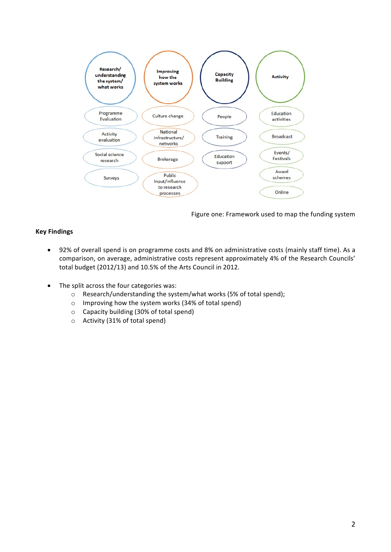

Figure one: Framework used to map the funding system

# **Key Findings**

- 92% of overall spend is on programme costs and 8% on administrative costs (mainly staff time). As a comparison, on average, administrative costs represent approximately 4% of the Research Councils' total budget (2012/13) and 10.5% of the Arts Council in 2012.
- The split across the four categories was:
	- $\circ$  Research/understanding the system/what works (5% of total spend);
	- $\circ$  Improving how the system works (34% of total spend)
	- $\circ$  Capacity building (30% of total spend)
	- $\circ$  Activity (31% of total spend)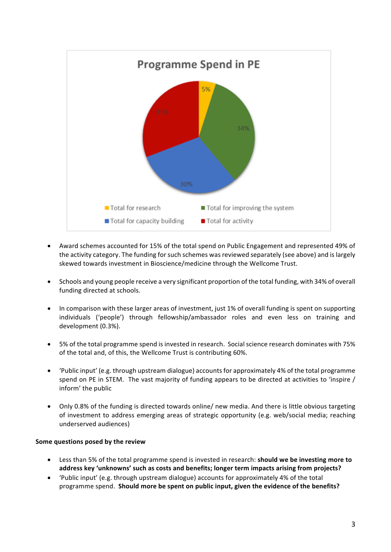

- Award schemes accounted for 15% of the total spend on Public Engagement and represented 49% of the activity category. The funding for such schemes was reviewed separately (see above) and is largely skewed towards investment in Bioscience/medicine through the Wellcome Trust.
- Schools and young people receive a very significant proportion of the total funding, with 34% of overall funding directed at schools.
- In comparison with these larger areas of investment, just 1% of overall funding is spent on supporting individuals ('people') through fellowship/ambassador roles and even less on training and development (0.3%).
- 5% of the total programme spend is invested in research. Social science research dominates with 75% of the total and, of this, the Wellcome Trust is contributing 60%.
- 'Public input' (e.g. through upstream dialogue) accounts for approximately 4% of the total programme spend on PE in STEM. The vast majority of funding appears to be directed at activities to 'inspire / inform' the public
- Only 0.8% of the funding is directed towards online/ new media. And there is little obvious targeting of investment to address emerging areas of strategic opportunity (e.g. web/social media; reaching underserved audiences)

## **Some questions posed by the review**

- Less than 5% of the total programme spend is invested in research: **should we be investing more to** address key 'unknowns' such as costs and benefits; longer term impacts arising from projects?
- 'Public input' (e.g. through upstream dialogue) accounts for approximately 4% of the total programme spend. Should more be spent on public input, given the evidence of the benefits?